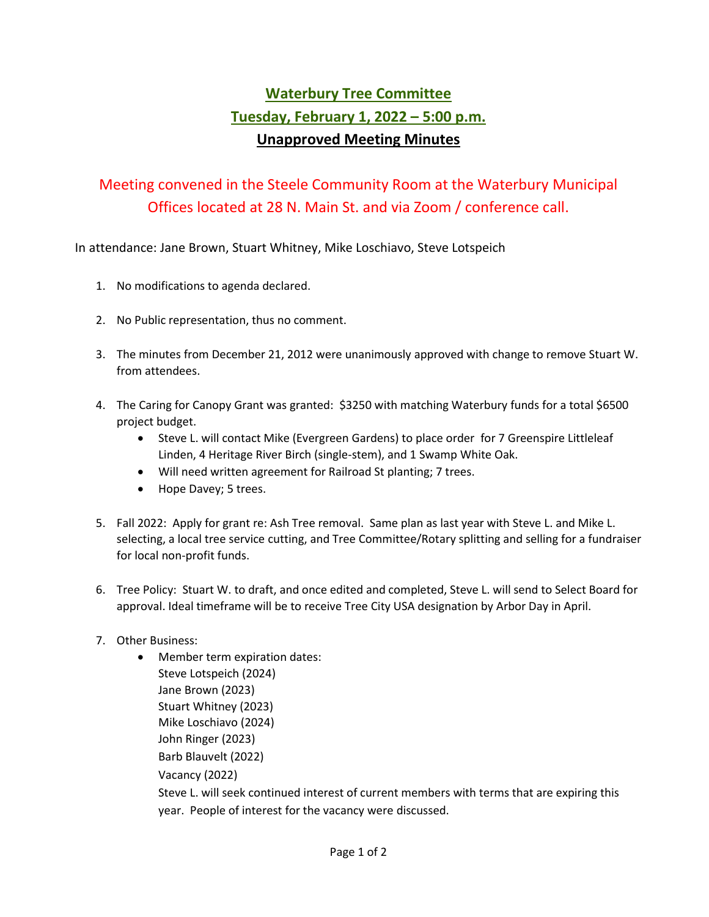## **Waterbury Tree Committee Tuesday, February 1, 2022 – 5:00 p.m.** **Unapproved Meeting Minutes**

## Meeting convened in the Steele Community Room at the Waterbury Municipal Offices located at 28 N. Main St. and via Zoom / conference call.

In attendance: Jane Brown, Stuart Whitney, Mike Loschiavo, Steve Lotspeich

- 1. No modifications to agenda declared.
- 2. No Public representation, thus no comment.
- 3. The minutes from December 21, 2012 were unanimously approved with change to remove Stuart W. from attendees.
- 4. The Caring for Canopy Grant was granted: \$3250 with matching Waterbury funds for a total \$6500 project budget.
	- Steve L. will contact Mike (Evergreen Gardens) to place order for 7 Greenspire Littleleaf Linden, 4 Heritage River Birch (single-stem), and 1 Swamp White Oak.
	- Will need written agreement for Railroad St planting; 7 trees.
	- Hope Davey; 5 trees.
- 5. Fall 2022: Apply for grant re: Ash Tree removal. Same plan as last year with Steve L. and Mike L. selecting, a local tree service cutting, and Tree Committee/Rotary splitting and selling for a fundraiser for local non-profit funds.
- 6. Tree Policy: Stuart W. to draft, and once edited and completed, Steve L. will send to Select Board for approval. Ideal timeframe will be to receive Tree City USA designation by Arbor Day in April.
- 7. Other Business:
	- Member term expiration dates: Steve Lotspeich (2024) Jane Brown (2023) Stuart Whitney (2023) Mike Loschiavo (2024) John Ringer (2023) Barb Blauvelt (2022) Vacancy (2022) Steve L. will seek continued interest of current members with terms that are expiring this year. People of interest for the vacancy were discussed.